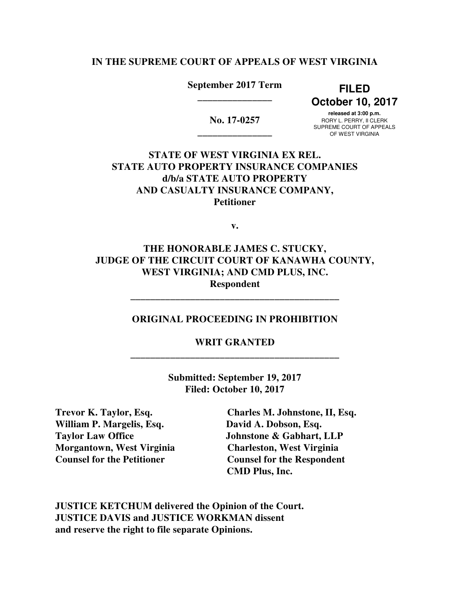### **IN THE SUPREME COURT OF APPEALS OF WEST VIRGINIA**

## **September 2017 Term FILED \_\_\_\_\_\_\_\_\_\_\_\_\_\_\_**

 **October 10, 2017** 

 **released at 3:00 p.m. No. 17-0257** RORY L. PERRY, II CLERK<br>
SUPREME COURT OF APPEALS SUF NEWE COUNT OF AFF<br>OF WEST VIRGINIA

 **STATE OF WEST VIRGINIA EX REL. STATE AUTO PROPERTY INSURANCE COMPANIES d/b/a STATE AUTO PROPERTY AND CASUALTY INSURANCE COMPANY, Petitioner** 

**v.** 

 **THE HONORABLE JAMES C. STUCKY, JUDGE OF THE CIRCUIT COURT OF KANAWHA COUNTY, WEST VIRGINIA; AND CMD PLUS, INC. Respondent** 

#### **ORIGINAL PROCEEDING IN PROHIBITION**

**\_\_\_\_\_\_\_\_\_\_\_\_\_\_\_\_\_\_\_\_\_\_\_\_\_\_\_\_\_\_\_\_\_\_\_\_\_\_\_\_\_\_** 

**\_\_\_\_\_\_\_\_\_\_\_\_\_\_\_\_\_\_\_\_\_\_\_\_\_\_\_\_\_\_\_\_\_\_\_\_\_\_\_\_\_\_ WRIT GRANTED** 

> **Submitted: September 19, 2017 Filed: October 10, 2017**

**Trevor K. Taylor, Esq.** William P. Margelis, Esq. **David A. Dobson, Esq. Taylor Law Office Morgantown, West Virginia Charleston, West Virginia Counsel for the Petitioner** 

**Charles M. Johnstone, II, Esq. Johnstone & Gabhart, LLP Counsel for the Respondent CMD Plus, Inc.** 

 **JUSTICE KETCHUM delivered the Opinion of the Court. JUSTICE DAVIS and JUSTICE WORKMAN dissent and reserve the right to file separate Opinions.**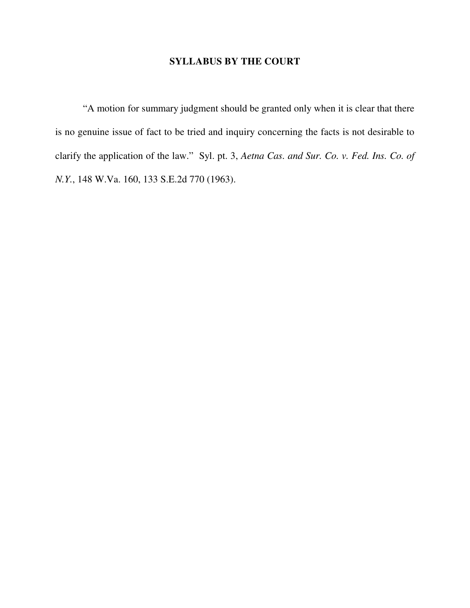#### **SYLLABUS BY THE COURT**

 "A motion for summary judgment should be granted only when it is clear that there is no genuine issue of fact to be tried and inquiry concerning the facts is not desirable to clarify the application of the law." Syl. pt. 3, *Aetna Cas. and Sur. Co. v. Fed. Ins. Co. of N.Y.*, 148 W.Va. 160, 133 S.E.2d 770 (1963).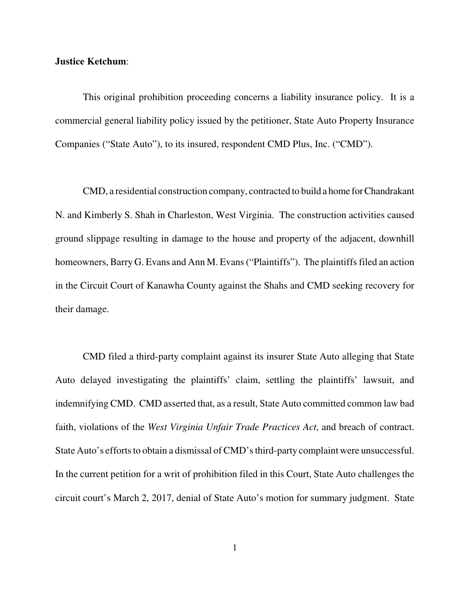#### **Justice Ketchum**:

 This original prohibition proceeding concerns a liability insurance policy. It is a commercial general liability policy issued by the petitioner, State Auto Property Insurance Companies ("State Auto"), to its insured, respondent CMD Plus, Inc. ("CMD").

 CMD, a residential construction company, contracted to build a home for Chandrakant N. and Kimberly S. Shah in Charleston, West Virginia. The construction activities caused ground slippage resulting in damage to the house and property of the adjacent, downhill homeowners, Barry G. Evans and Ann M. Evans ("Plaintiffs"). The plaintiffs filed an action in the Circuit Court of Kanawha County against the Shahs and CMD seeking recovery for their damage.

 CMD filed a third-party complaint against its insurer State Auto alleging that State Auto delayed investigating the plaintiffs' claim, settling the plaintiffs' lawsuit, and indemnifying CMD. CMD asserted that, as a result, State Auto committed common law bad faith, violations of the *West Virginia Unfair Trade Practices Act*, and breach of contract. State Auto's efforts to obtain a dismissal of CMD's third-party complaint were unsuccessful. In the current petition for a writ of prohibition filed in this Court, State Auto challenges the circuit court's March 2, 2017, denial of State Auto's motion for summary judgment. State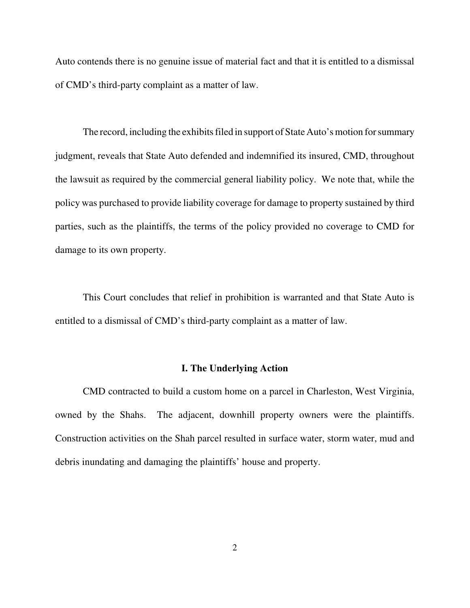Auto contends there is no genuine issue of material fact and that it is entitled to a dismissal of CMD's third-party complaint as a matter of law.

 The record, including the exhibits filed in support of State Auto's motion for summary judgment, reveals that State Auto defended and indemnified its insured, CMD, throughout the lawsuit as required by the commercial general liability policy. We note that, while the policy was purchased to provide liability coverage for damage to property sustained by third parties, such as the plaintiffs, the terms of the policy provided no coverage to CMD for damage to its own property.

 This Court concludes that relief in prohibition is warranted and that State Auto is entitled to a dismissal of CMD's third-party complaint as a matter of law.

### **I. The Underlying Action**

 CMD contracted to build a custom home on a parcel in Charleston, West Virginia, owned by the Shahs. The adjacent, downhill property owners were the plaintiffs. Construction activities on the Shah parcel resulted in surface water, storm water, mud and debris inundating and damaging the plaintiffs' house and property.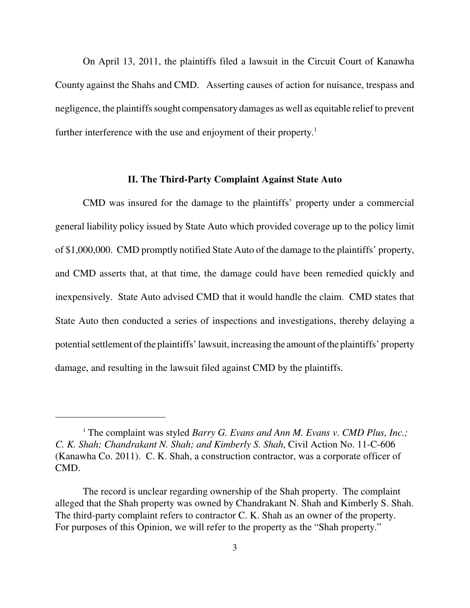On April 13, 2011, the plaintiffs filed a lawsuit in the Circuit Court of Kanawha County against the Shahs and CMD. Asserting causes of action for nuisance, trespass and negligence, the plaintiffs sought compensatory damages as well as equitable relief to prevent further interference with the use and enjoyment of their property.<sup>1</sup>

#### **II. The Third-Party Complaint Against State Auto**

 CMD was insured for the damage to the plaintiffs' property under a commercial general liability policy issued by State Auto which provided coverage up to the policy limit of \$1,000,000. CMD promptly notified State Auto of the damage to the plaintiffs' property, and CMD asserts that, at that time, the damage could have been remedied quickly and inexpensively. State Auto advised CMD that it would handle the claim. CMD states that State Auto then conducted a series of inspections and investigations, thereby delaying a potential settlement of the plaintiffs' lawsuit, increasing the amount of the plaintiffs' property damage, and resulting in the lawsuit filed against CMD by the plaintiffs.

<sup>&</sup>lt;sup>1</sup> The complaint was styled *Barry G. Evans and Ann M. Evans v. CMD Plus, Inc.; C. K. Shah; Chandrakant N. Shah; and Kimberly S. Shah*, Civil Action No. 11-C-606 (Kanawha Co. 2011). C. K. Shah, a construction contractor, was a corporate officer of CMD.

 The record is unclear regarding ownership of the Shah property. The complaint alleged that the Shah property was owned by Chandrakant N. Shah and Kimberly S. Shah. The third-party complaint refers to contractor C. K. Shah as an owner of the property. For purposes of this Opinion, we will refer to the property as the "Shah property."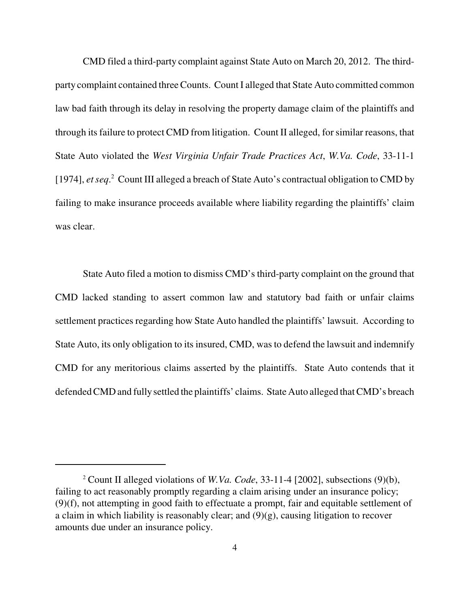CMD filed a third-party complaint against State Auto on March 20, 2012. The third- party complaint contained three Counts. Count I alleged that State Auto committed common law bad faith through its delay in resolving the property damage claim of the plaintiffs and through its failure to protect CMD from litigation. Count II alleged, for similar reasons, that State Auto violated the *West Virginia Unfair Trade Practices Act*, *W.Va. Code*, 33-11-1 [1974], *et seq*. 2 Count III alleged a breach of State Auto's contractual obligation to CMD by failing to make insurance proceeds available where liability regarding the plaintiffs' claim was clear.

 State Auto filed a motion to dismiss CMD's third-party complaint on the ground that CMD lacked standing to assert common law and statutory bad faith or unfair claims settlement practices regarding how State Auto handled the plaintiffs' lawsuit. According to State Auto, its only obligation to its insured, CMD, was to defend the lawsuit and indemnify CMD for any meritorious claims asserted by the plaintiffs. State Auto contends that it defended CMD and fully settled the plaintiffs' claims. State Auto alleged that CMD's breach

 2 Count II alleged violations of *W.Va. Code*, 33-11-4 [2002], subsections (9)(b), failing to act reasonably promptly regarding a claim arising under an insurance policy; (9)(f), not attempting in good faith to effectuate a prompt, fair and equitable settlement of a claim in which liability is reasonably clear; and (9)(g), causing litigation to recover amounts due under an insurance policy.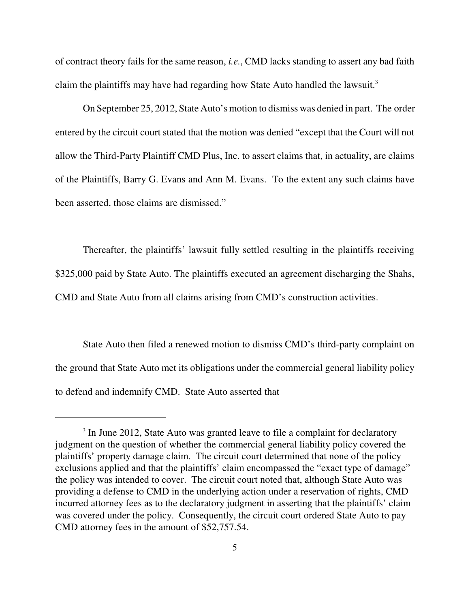of contract theory fails for the same reason, *i.e.*, CMD lacks standing to assert any bad faith claim the plaintiffs may have had regarding how State Auto handled the lawsuit. $3$ 

 entered by the circuit court stated that the motion was denied "except that the Court will not allow the Third-Party Plaintiff CMD Plus, Inc. to assert claims that, in actuality, are claims of the Plaintiffs, Barry G. Evans and Ann M. Evans. To the extent any such claims have been asserted, those claims are dismissed." On September 25, 2012, State Auto's motion to dismiss was denied in part. The order

 Thereafter, the plaintiffs' lawsuit fully settled resulting in the plaintiffs receiving \$325,000 paid by State Auto. The plaintiffs executed an agreement discharging the Shahs, CMD and State Auto from all claims arising from CMD's construction activities.

 State Auto then filed a renewed motion to dismiss CMD's third-party complaint on the ground that State Auto met its obligations under the commercial general liability policy to defend and indemnify CMD. State Auto asserted that

<sup>&</sup>lt;sup>3</sup> In June 2012, State Auto was granted leave to file a complaint for declaratory judgment on the question of whether the commercial general liability policy covered the plaintiffs' property damage claim. The circuit court determined that none of the policy exclusions applied and that the plaintiffs' claim encompassed the "exact type of damage" the policy was intended to cover. The circuit court noted that, although State Auto was providing a defense to CMD in the underlying action under a reservation of rights, CMD incurred attorney fees as to the declaratory judgment in asserting that the plaintiffs' claim was covered under the policy. Consequently, the circuit court ordered State Auto to pay CMD attorney fees in the amount of \$52,757.54.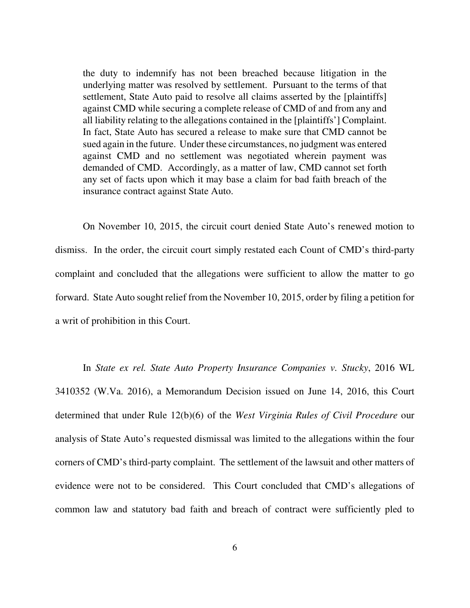the duty to indemnify has not been breached because litigation in the underlying matter was resolved by settlement. Pursuant to the terms of that settlement, State Auto paid to resolve all claims asserted by the [plaintiffs] against CMD while securing a complete release of CMD of and from any and all liability relating to the allegations contained in the [plaintiffs'] Complaint. In fact, State Auto has secured a release to make sure that CMD cannot be sued again in the future. Under these circumstances, no judgment was entered against CMD and no settlement was negotiated wherein payment was demanded of CMD. Accordingly, as a matter of law, CMD cannot set forth any set of facts upon which it may base a claim for bad faith breach of the insurance contract against State Auto.

 On November 10, 2015, the circuit court denied State Auto's renewed motion to dismiss. In the order, the circuit court simply restated each Count of CMD's third-party complaint and concluded that the allegations were sufficient to allow the matter to go forward. State Auto sought relief from the November 10, 2015, order by filing a petition for a writ of prohibition in this Court.

 In *State ex rel. State Auto Property Insurance Companies v. Stucky*, 2016 WL 3410352 (W.Va. 2016), a Memorandum Decision issued on June 14, 2016, this Court determined that under Rule 12(b)(6) of the *West Virginia Rules of Civil Procedure* our analysis of State Auto's requested dismissal was limited to the allegations within the four corners of CMD's third-party complaint. The settlement of the lawsuit and other matters of evidence were not to be considered. This Court concluded that CMD's allegations of common law and statutory bad faith and breach of contract were sufficiently pled to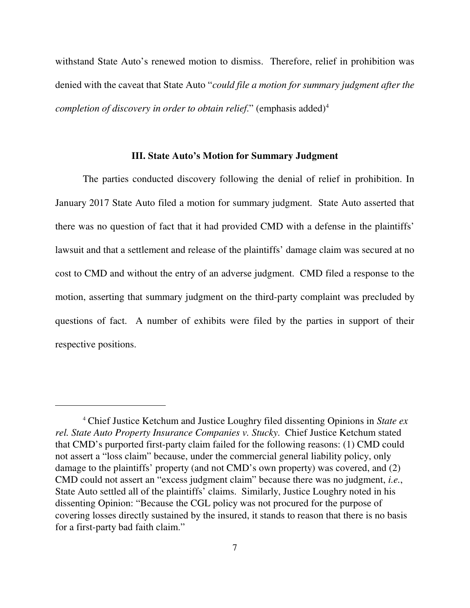withstand State Auto's renewed motion to dismiss. Therefore, relief in prohibition was denied with the caveat that State Auto "*could file a motion for summary judgment after the completion of discovery in order to obtain relief.*" (emphasis added)<sup>4</sup>

#### **III. State Auto's Motion for Summary Judgment**

 The parties conducted discovery following the denial of relief in prohibition. In January 2017 State Auto filed a motion for summary judgment. State Auto asserted that there was no question of fact that it had provided CMD with a defense in the plaintiffs' lawsuit and that a settlement and release of the plaintiffs' damage claim was secured at no cost to CMD and without the entry of an adverse judgment. CMD filed a response to the motion, asserting that summary judgment on the third-party complaint was precluded by questions of fact. A number of exhibits were filed by the parties in support of their respective positions.

 4 Chief Justice Ketchum and Justice Loughry filed dissenting Opinions in *State ex rel. State Auto Property Insurance Companies v. Stucky*. Chief Justice Ketchum stated that CMD's purported first-party claim failed for the following reasons: (1) CMD could not assert a "loss claim" because, under the commercial general liability policy, only damage to the plaintiffs' property (and not CMD's own property) was covered, and (2) CMD could not assert an "excess judgment claim" because there was no judgment, *i.e.*, State Auto settled all of the plaintiffs' claims. Similarly, Justice Loughry noted in his dissenting Opinion: "Because the CGL policy was not procured for the purpose of covering losses directly sustained by the insured, it stands to reason that there is no basis for a first-party bad faith claim."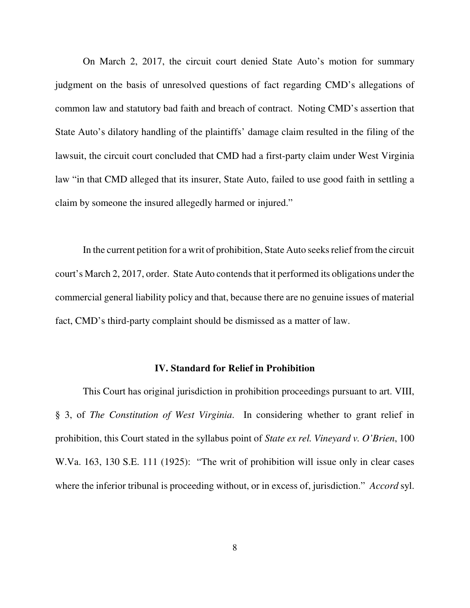On March 2, 2017, the circuit court denied State Auto's motion for summary judgment on the basis of unresolved questions of fact regarding CMD's allegations of common law and statutory bad faith and breach of contract. Noting CMD's assertion that State Auto's dilatory handling of the plaintiffs' damage claim resulted in the filing of the lawsuit, the circuit court concluded that CMD had a first-party claim under West Virginia law "in that CMD alleged that its insurer, State Auto, failed to use good faith in settling a claim by someone the insured allegedly harmed or injured."

 In the current petition for a writ of prohibition, State Auto seeks relief from the circuit court's March 2, 2017, order. State Auto contends that it performed its obligations under the commercial general liability policy and that, because there are no genuine issues of material fact, CMD's third-party complaint should be dismissed as a matter of law.

### **IV. Standard for Relief in Prohibition**

 This Court has original jurisdiction in prohibition proceedings pursuant to art. VIII, § 3, of *The Constitution of West Virginia*. In considering whether to grant relief in prohibition, this Court stated in the syllabus point of *State ex rel. Vineyard v. O'Brien*, 100 W.Va. 163, 130 S.E. 111 (1925): "The writ of prohibition will issue only in clear cases where the inferior tribunal is proceeding without, or in excess of, jurisdiction." *Accord* syl.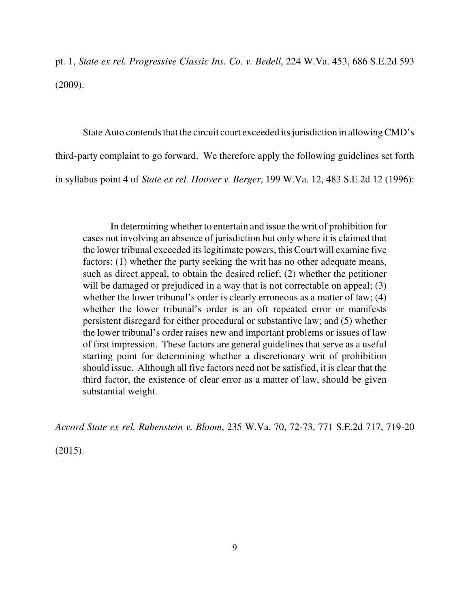pt. 1, *State ex rel. Progressive Classic Ins. Co. v. Bedell*, 224 W.Va. 453, 686 S.E.2d 593 (2009).

 State Auto contends that the circuit court exceeded its jurisdiction in allowing CMD's third-party complaint to go forward. We therefore apply the following guidelines set forth in syllabus point 4 of *State ex rel. Hoover v. Berger*, 199 W.Va. 12, 483 S.E.2d 12 (1996):

 In determining whether to entertain and issue the writ of prohibition for cases not involving an absence of jurisdiction but only where it is claimed that the lower tribunal exceeded its legitimate powers, this Court will examine five factors: (1) whether the party seeking the writ has no other adequate means, such as direct appeal, to obtain the desired relief; (2) whether the petitioner will be damaged or prejudiced in a way that is not correctable on appeal; (3) whether the lower tribunal's order is clearly erroneous as a matter of law; (4) whether the lower tribunal's order is an oft repeated error or manifests persistent disregard for either procedural or substantive law; and (5) whether the lower tribunal's order raises new and important problems or issues of law of first impression. These factors are general guidelines that serve as a useful starting point for determining whether a discretionary writ of prohibition should issue. Although all five factors need not be satisfied, it is clear that the third factor, the existence of clear error as a matter of law, should be given substantial weight.

 *Accord State ex rel. Rubenstein v. Bloom*, 235 W.Va. 70, 72-73, 771 S.E.2d 717, 719-20

(2015).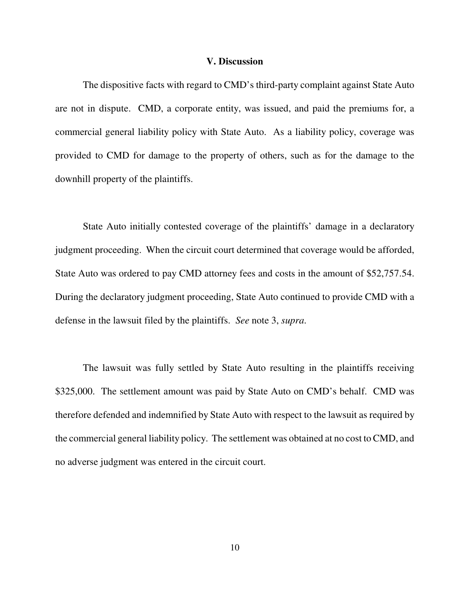#### **V. Discussion**

 The dispositive facts with regard to CMD's third-party complaint against State Auto are not in dispute. CMD, a corporate entity, was issued, and paid the premiums for, a commercial general liability policy with State Auto. As a liability policy, coverage was provided to CMD for damage to the property of others, such as for the damage to the downhill property of the plaintiffs.

 State Auto initially contested coverage of the plaintiffs' damage in a declaratory judgment proceeding. When the circuit court determined that coverage would be afforded, State Auto was ordered to pay CMD attorney fees and costs in the amount of \$52,757.54. During the declaratory judgment proceeding, State Auto continued to provide CMD with a defense in the lawsuit filed by the plaintiffs. *See* note 3, *supra*.

 The lawsuit was fully settled by State Auto resulting in the plaintiffs receiving \$325,000. The settlement amount was paid by State Auto on CMD's behalf. CMD was therefore defended and indemnified by State Auto with respect to the lawsuit as required by the commercial general liability policy. The settlement was obtained at no cost to CMD, and no adverse judgment was entered in the circuit court.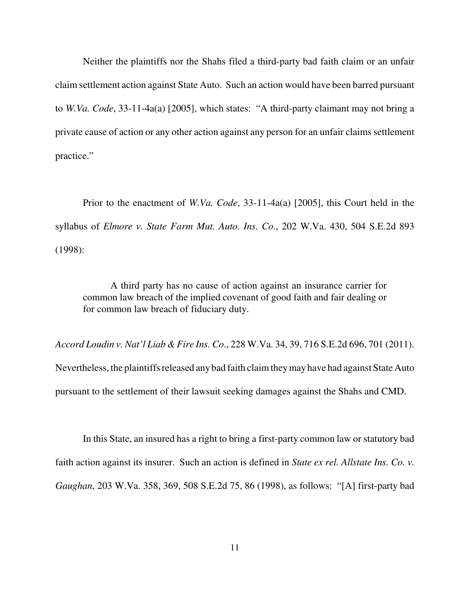Neither the plaintiffs nor the Shahs filed a third-party bad faith claim or an unfair claim settlement action against State Auto. Such an action would have been barred pursuant to *W.Va. Code*, 33-11-4a(a) [2005], which states: "A third-party claimant may not bring a private cause of action or any other action against any person for an unfair claims settlement practice."

 Prior to the enactment of *W.Va. Code*, 33-11-4a(a) [2005], this Court held in the syllabus of *Elmore v. State Farm Mut. Auto. Ins. Co*., 202 W.Va. 430, 504 S.E.2d 893 (1998):

 A third party has no cause of action against an insurance carrier for common law breach of the implied covenant of good faith and fair dealing or for common law breach of fiduciary duty.

 *Accord Loudin v. Nat'l Liab & Fire Ins. Co*., 228 W.Va. 34, 39, 716 S.E.2d 696, 701 (2011). Nevertheless, the plaintiffs released anybad faith claim they may have had against State Auto pursuant to the settlement of their lawsuit seeking damages against the Shahs and CMD.

 In this State, an insured has a right to bring a first-party common law or statutory bad faith action against its insurer. Such an action is defined in *State ex rel. Allstate Ins. Co. v. Gaughan*, 203 W.Va. 358, 369, 508 S.E.2d 75, 86 (1998), as follows: "[A] first-party bad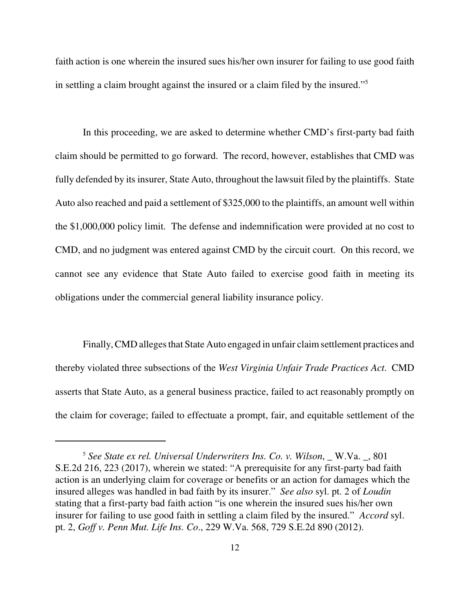faith action is one wherein the insured sues his/her own insurer for failing to use good faith in settling a claim brought against the insured or a claim filed by the insured."5

 In this proceeding, we are asked to determine whether CMD's first-party bad faith claim should be permitted to go forward. The record, however, establishes that CMD was fully defended by its insurer, State Auto, throughout the lawsuit filed by the plaintiffs. State Auto also reached and paid a settlement of \$325,000 to the plaintiffs, an amount well within the \$1,000,000 policy limit. The defense and indemnification were provided at no cost to CMD, and no judgment was entered against CMD by the circuit court. On this record, we cannot see any evidence that State Auto failed to exercise good faith in meeting its obligations under the commercial general liability insurance policy.

 Finally, CMD alleges that State Auto engaged in unfair claim settlement practices and thereby violated three subsections of the *West Virginia Unfair Trade Practices Act*. CMD asserts that State Auto, as a general business practice, failed to act reasonably promptly on the claim for coverage; failed to effectuate a prompt, fair, and equitable settlement of the

<sup>&</sup>lt;sup>5</sup> See State ex rel. Universal Underwriters Ins. Co. v. Wilson, \_ W.Va. \_, 801 S.E.2d 216, 223 (2017), wherein we stated: "A prerequisite for any first-party bad faith action is an underlying claim for coverage or benefits or an action for damages which the insured alleges was handled in bad faith by its insurer." *See also* syl. pt. 2 of *Loudin*  stating that a first-party bad faith action "is one wherein the insured sues his/her own insurer for failing to use good faith in settling a claim filed by the insured." *Accord* syl. pt. 2, *Goff v. Penn Mut. Life Ins. Co*., 229 W.Va. 568, 729 S.E.2d 890 (2012).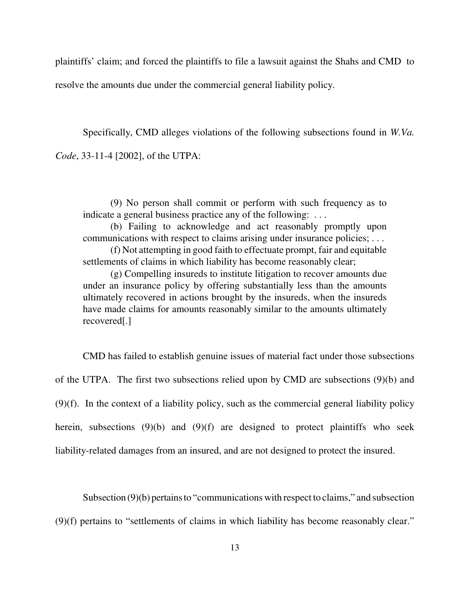plaintiffs' claim; and forced the plaintiffs to file a lawsuit against the Shahs and CMD to resolve the amounts due under the commercial general liability policy.

 Specifically, CMD alleges violations of the following subsections found in *W.Va. Code*, 33-11-4 [2002], of the UTPA:

 (9) No person shall commit or perform with such frequency as to indicate a general business practice any of the following: . . .

 (b) Failing to acknowledge and act reasonably promptly upon communications with respect to claims arising under insurance policies; . . .

 (f) Not attempting in good faith to effectuate prompt, fair and equitable settlements of claims in which liability has become reasonably clear;

 (g) Compelling insureds to institute litigation to recover amounts due under an insurance policy by offering substantially less than the amounts ultimately recovered in actions brought by the insureds, when the insureds have made claims for amounts reasonably similar to the amounts ultimately recovered[.]

 CMD has failed to establish genuine issues of material fact under those subsections of the UTPA. The first two subsections relied upon by CMD are subsections (9)(b) and (9)(f). In the context of a liability policy, such as the commercial general liability policy herein, subsections (9)(b) and (9)(f) are designed to protect plaintiffs who seek liability-related damages from an insured, and are not designed to protect the insured.

Subsection (9)(b) pertains to "communications with respect to claims," and subsection

(9)(f) pertains to "settlements of claims in which liability has become reasonably clear."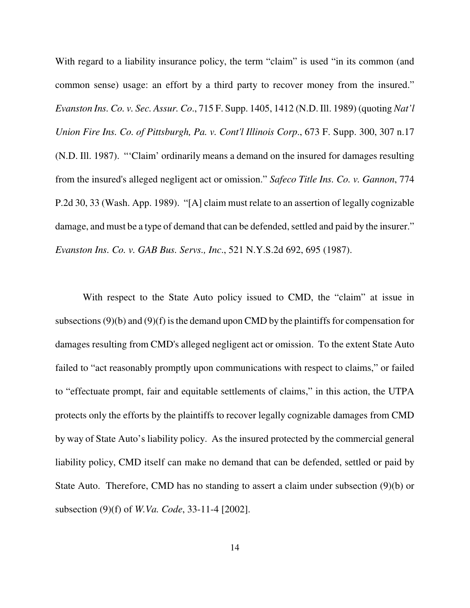With regard to a liability insurance policy, the term "claim" is used "in its common (and common sense) usage: an effort by a third party to recover money from the insured."  *Evanston Ins. Co. v. Sec. Assur. Co*., 715 F. Supp. 1405, 1412 (N.D. Ill. 1989) (quoting *Nat'l Union Fire Ins. Co. of Pittsburgh, Pa. v. Cont'l Illinois Corp*., 673 F. Supp. 300, 307 n.17 (N.D. Ill. 1987). "'Claim' ordinarily means a demand on the insured for damages resulting from the insured's alleged negligent act or omission." *Safeco Title Ins. Co. v. Gannon*, 774 P.2d 30, 33 (Wash. App. 1989). "[A] claim must relate to an assertion of legally cognizable damage, and must be a type of demand that can be defended, settled and paid by the insurer."  *Evanston Ins. Co. v. GAB Bus. Servs., Inc*., 521 N.Y.S.2d 692, 695 (1987).

 With respect to the State Auto policy issued to CMD, the "claim" at issue in subsections (9)(b) and (9)(f) is the demand upon CMD by the plaintiffs for compensation for damages resulting from CMD's alleged negligent act or omission. To the extent State Auto failed to "act reasonably promptly upon communications with respect to claims," or failed to "effectuate prompt, fair and equitable settlements of claims," in this action, the UTPA protects only the efforts by the plaintiffs to recover legally cognizable damages from CMD by way of State Auto's liability policy. As the insured protected by the commercial general liability policy, CMD itself can make no demand that can be defended, settled or paid by State Auto. Therefore, CMD has no standing to assert a claim under subsection (9)(b) or subsection (9)(f) of *W.Va. Code*, 33-11-4 [2002].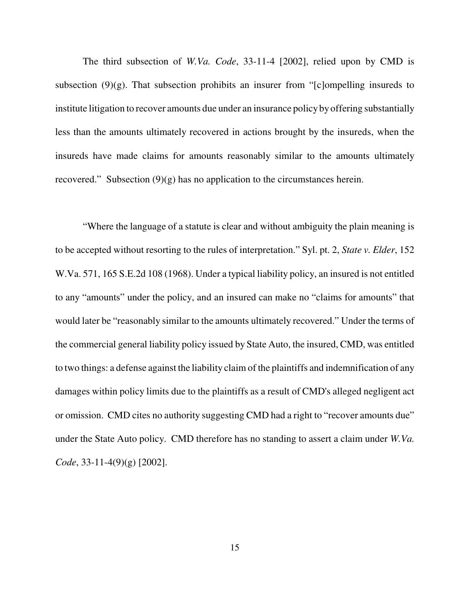The third subsection of *W.Va. Code*, 33-11-4 [2002], relied upon by CMD is subsection (9)(g). That subsection prohibits an insurer from "[c]ompelling insureds to institute litigation to recover amounts due under an insurance policy by offering substantially less than the amounts ultimately recovered in actions brought by the insureds, when the insureds have made claims for amounts reasonably similar to the amounts ultimately recovered." Subsection (9)(g) has no application to the circumstances herein.

 "Where the language of a statute is clear and without ambiguity the plain meaning is to be accepted without resorting to the rules of interpretation." Syl. pt. 2, *State v. Elder*, 152 W.Va. 571, 165 S.E.2d 108 (1968). Under a typical liability policy, an insured is not entitled to any "amounts" under the policy, and an insured can make no "claims for amounts" that would later be "reasonably similar to the amounts ultimately recovered." Under the terms of the commercial general liability policy issued by State Auto, the insured, CMD, was entitled to two things: a defense against the liability claim of the plaintiffs and indemnification of any damages within policy limits due to the plaintiffs as a result of CMD's alleged negligent act or omission. CMD cites no authority suggesting CMD had a right to "recover amounts due" under the State Auto policy. CMD therefore has no standing to assert a claim under *W.Va. Code*, 33-11-4(9)(g) [2002].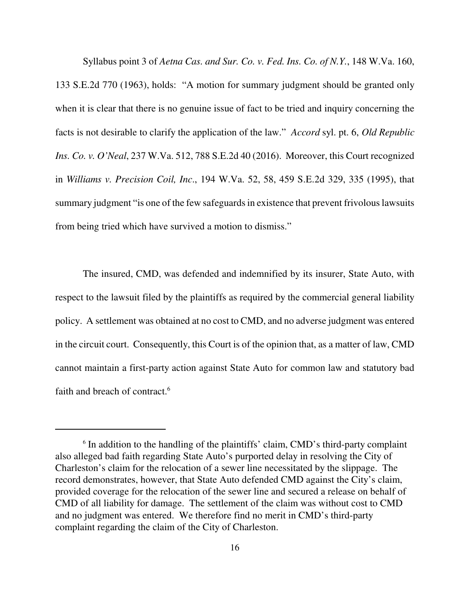Syllabus point 3 of *Aetna Cas. and Sur. Co. v. Fed. Ins. Co. of N.Y.*, 148 W.Va. 160, 133 S.E.2d 770 (1963), holds: "A motion for summary judgment should be granted only when it is clear that there is no genuine issue of fact to be tried and inquiry concerning the facts is not desirable to clarify the application of the law." *Accord* syl. pt. 6, *Old Republic Ins. Co. v. O'Neal*, 237 W.Va. 512, 788 S.E.2d 40 (2016). Moreover, this Court recognized  in *Williams v. Precision Coil, Inc*., 194 W.Va. 52, 58, 459 S.E.2d 329, 335 (1995), that summary judgment "is one of the few safeguards in existence that prevent frivolous lawsuits from being tried which have survived a motion to dismiss."

 The insured, CMD, was defended and indemnified by its insurer, State Auto, with respect to the lawsuit filed by the plaintiffs as required by the commercial general liability policy. A settlement was obtained at no cost to CMD, and no adverse judgment was entered in the circuit court. Consequently, this Court is of the opinion that, as a matter of law, CMD cannot maintain a first-party action against State Auto for common law and statutory bad faith and breach of contract.<sup>6</sup>

 $6$  In addition to the handling of the plaintiffs' claim, CMD's third-party complaint also alleged bad faith regarding State Auto's purported delay in resolving the City of Charleston's claim for the relocation of a sewer line necessitated by the slippage. The record demonstrates, however, that State Auto defended CMD against the City's claim, provided coverage for the relocation of the sewer line and secured a release on behalf of CMD of all liability for damage. The settlement of the claim was without cost to CMD and no judgment was entered. We therefore find no merit in CMD's third-party complaint regarding the claim of the City of Charleston.